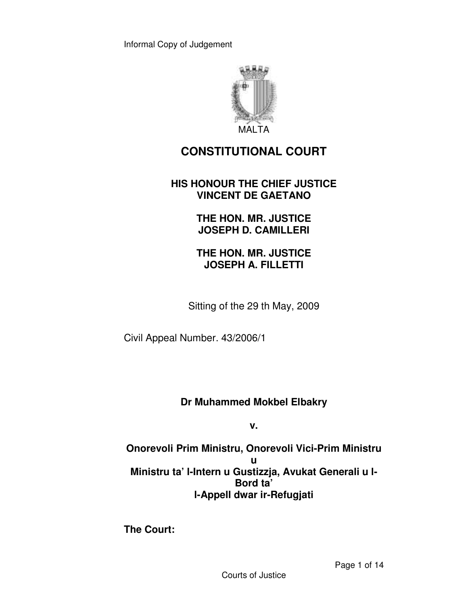

# **CONSTITUTIONAL COURT**

#### **HIS HONOUR THE CHIEF JUSTICE VINCENT DE GAETANO**

**THE HON. MR. JUSTICE JOSEPH D. CAMILLERI** 

**THE HON. MR. JUSTICE JOSEPH A. FILLETTI** 

Sitting of the 29 th May, 2009

Civil Appeal Number. 43/2006/1

**Dr Muhammed Mokbel Elbakry** 

**v.** 

**Onorevoli Prim Ministru, Onorevoli Vici-Prim Ministru u Ministru ta' l-Intern u Gustizzja, Avukat Generali u l-Bord ta' l-Appell dwar ir-Refugjati** 

**The Court:**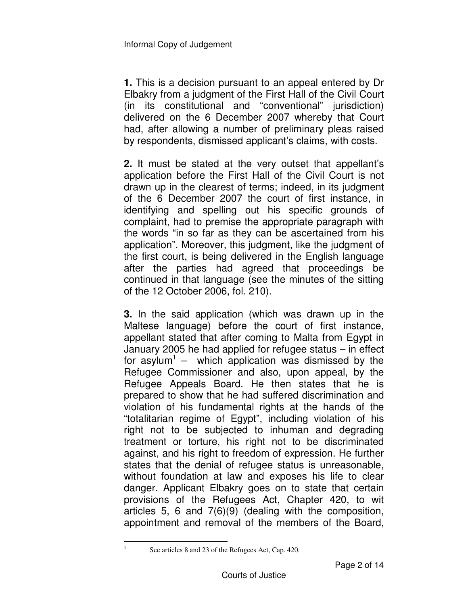**1.** This is a decision pursuant to an appeal entered by Dr Elbakry from a judgment of the First Hall of the Civil Court (in its constitutional and "conventional" jurisdiction) delivered on the 6 December 2007 whereby that Court had, after allowing a number of preliminary pleas raised by respondents, dismissed applicant's claims, with costs.

**2.** It must be stated at the very outset that appellant's application before the First Hall of the Civil Court is not drawn up in the clearest of terms; indeed, in its judgment of the 6 December 2007 the court of first instance, in identifying and spelling out his specific grounds of complaint, had to premise the appropriate paragraph with the words "in so far as they can be ascertained from his application". Moreover, this judgment, like the judgment of the first court, is being delivered in the English language after the parties had agreed that proceedings be continued in that language (see the minutes of the sitting of the 12 October 2006, fol. 210).

**3.** In the said application (which was drawn up in the Maltese language) before the court of first instance, appellant stated that after coming to Malta from Egypt in January 2005 he had applied for refugee status – in effect for asylum<sup>1</sup> – which application was dismissed by the Refugee Commissioner and also, upon appeal, by the Refugee Appeals Board. He then states that he is prepared to show that he had suffered discrimination and violation of his fundamental rights at the hands of the "totalitarian regime of Egypt", including violation of his right not to be subjected to inhuman and degrading treatment or torture, his right not to be discriminated against, and his right to freedom of expression. He further states that the denial of refugee status is unreasonable, without foundation at law and exposes his life to clear danger. Applicant Elbakry goes on to state that certain provisions of the Refugees Act, Chapter 420, to wit articles 5, 6 and 7(6)(9) (dealing with the composition, appointment and removal of the members of the Board,

 $\frac{1}{1}$ 

See articles 8 and 23 of the Refugees Act, Cap. 420.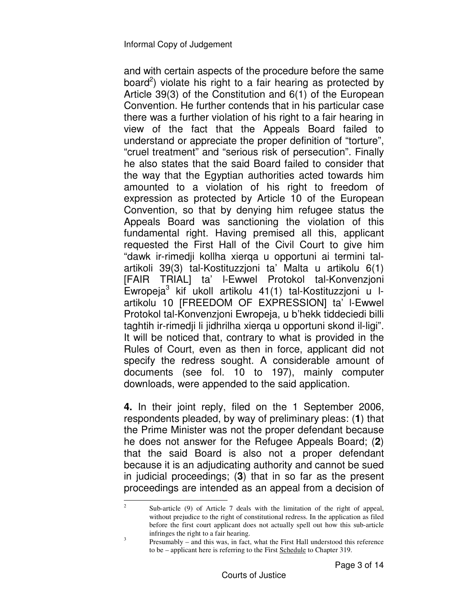and with certain aspects of the procedure before the same board<sup>2</sup>) violate his right to a fair hearing as protected by Article 39(3) of the Constitution and 6(1) of the European Convention. He further contends that in his particular case there was a further violation of his right to a fair hearing in view of the fact that the Appeals Board failed to understand or appreciate the proper definition of "torture", "cruel treatment" and "serious risk of persecution". Finally he also states that the said Board failed to consider that the way that the Egyptian authorities acted towards him amounted to a violation of his right to freedom of expression as protected by Article 10 of the European Convention, so that by denying him refugee status the Appeals Board was sanctioning the violation of this fundamental right. Having premised all this, applicant requested the First Hall of the Civil Court to give him "dawk ir-rimedji kollha xierqa u opportuni ai termini talartikoli 39(3) tal-Kostituzzjoni ta' Malta u artikolu 6(1) [FAIR TRIAL] ta' l-Ewwel Protokol tal-Konvenzjoni Ewropeja<sup>3</sup> kif ukoll artikolu 41(1) tal-Kostituzzjoni u lartikolu 10 [FREEDOM OF EXPRESSION] ta' l-Ewwel Protokol tal-Konvenzjoni Ewropeja, u b'hekk tiddeciedi billi taghtih ir-rimedji li jidhrilha xierqa u opportuni skond il-ligi". It will be noticed that, contrary to what is provided in the Rules of Court, even as then in force, applicant did not specify the redress sought. A considerable amount of documents (see fol. 10 to 197), mainly computer downloads, were appended to the said application.

**4.** In their joint reply, filed on the 1 September 2006, respondents pleaded, by way of preliminary pleas: (**1**) that the Prime Minister was not the proper defendant because he does not answer for the Refugee Appeals Board; (**2**) that the said Board is also not a proper defendant because it is an adjudicating authority and cannot be sued in judicial proceedings; (**3**) that in so far as the present proceedings are intended as an appeal from a decision of

 $\frac{1}{2}$  Sub-article (9) of Article 7 deals with the limitation of the right of appeal, without prejudice to the right of constitutional redress. In the application as filed before the first court applicant does not actually spell out how this sub-article infringes the right to a fair hearing. 3

Presumably – and this was, in fact, what the First Hall understood this reference to be – applicant here is referring to the First Schedule to Chapter 319.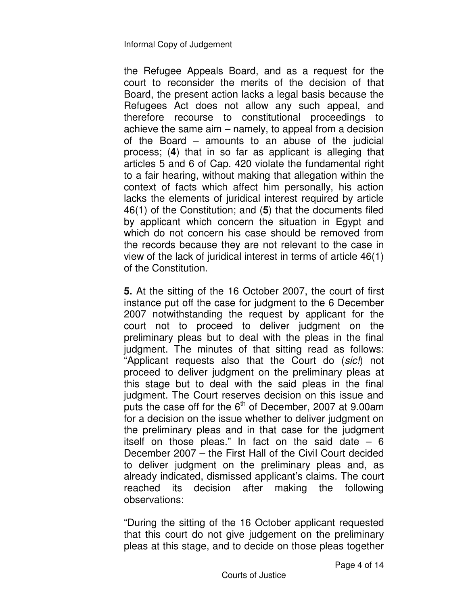the Refugee Appeals Board, and as a request for the court to reconsider the merits of the decision of that Board, the present action lacks a legal basis because the Refugees Act does not allow any such appeal, and therefore recourse to constitutional proceedings to achieve the same aim – namely, to appeal from a decision of the Board – amounts to an abuse of the judicial process; (**4**) that in so far as applicant is alleging that articles 5 and 6 of Cap. 420 violate the fundamental right to a fair hearing, without making that allegation within the context of facts which affect him personally, his action lacks the elements of juridical interest required by article 46(1) of the Constitution; and (**5**) that the documents filed by applicant which concern the situation in Egypt and which do not concern his case should be removed from the records because they are not relevant to the case in view of the lack of juridical interest in terms of article 46(1) of the Constitution.

**5.** At the sitting of the 16 October 2007, the court of first instance put off the case for judgment to the 6 December 2007 notwithstanding the request by applicant for the court not to proceed to deliver judgment on the preliminary pleas but to deal with the pleas in the final judgment. The minutes of that sitting read as follows: "Applicant requests also that the Court do (*sic!*) not proceed to deliver judgment on the preliminary pleas at this stage but to deal with the said pleas in the final judgment. The Court reserves decision on this issue and puts the case off for the  $6<sup>th</sup>$  of December, 2007 at 9.00am for a decision on the issue whether to deliver judgment on the preliminary pleas and in that case for the judgment itself on those pleas." In fact on the said date  $-6$ December 2007 – the First Hall of the Civil Court decided to deliver judgment on the preliminary pleas and, as already indicated, dismissed applicant's claims. The court reached its decision after making the following observations:

"During the sitting of the 16 October applicant requested that this court do not give judgement on the preliminary pleas at this stage, and to decide on those pleas together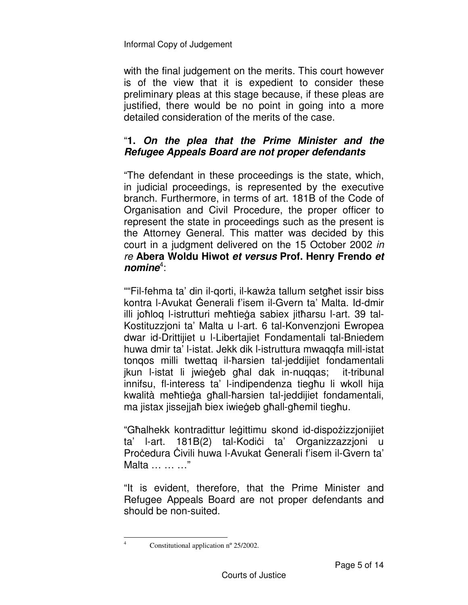with the final judgement on the merits. This court however is of the view that it is expedient to consider these preliminary pleas at this stage because, if these pleas are justified, there would be no point in going into a more detailed consideration of the merits of the case.

## "**1.** *On the plea that the Prime Minister and the Refugee Appeals Board are not proper defendants*

"The defendant in these proceedings is the state, which, in judicial proceedings, is represented by the executive branch. Furthermore, in terms of art. 181B of the Code of Organisation and Civil Procedure, the proper officer to represent the state in proceedings such as the present is the Attorney General. This matter was decided by this court in a judgment delivered on the 15 October 2002 *in re* **Abera Woldu Hiwot** *et versus* **Prof. Henry Frendo** *et nomine*<sup>4</sup> :

""Fil-fehma ta' din il-qorti, il-kawża tallum setgħet issir biss kontra I-Avukat Generali f'isem il-Gvern ta' Malta. Id-dmir illi joħloq l-istrutturi meħtieġa sabiex jitħarsu l-art. 39 tal-Kostituzzjoni ta' Malta u l-art. 6 tal-Konvenzjoni Ewropea dwar id-Drittijiet u l-Libertajiet Fondamentali tal-Bniedem huwa dmir ta' l-istat. Jekk dik l-istruttura mwaqqfa mill-istat tonqos milli twettaq il-ħarsien tal-jeddijiet fondamentali jkun l-istat li jwieāeb għal dak in-nuqqas; it-tribunal innifsu, fl-interess ta' l-indipendenza tiegħu li wkoll hija kwalità meħtieāa għall-ħarsien tal-jeddijiet fondamentali, ma jistax jissejjaħ biex iwieāeb għall-għemil tiegħu.

"Għalhekk kontradittur leāittimu skond id-dispożizzjonijiet ta' l-art. 181B(2) tal-Kodiëi ta' Organizzazzjoni u Pročedura Čivili huwa l-Avukat Generali f'isem il-Gvern ta' Malta … … …"

"It is evident, therefore, that the Prime Minister and Refugee Appeals Board are not proper defendants and should be non-suited.

 $\frac{1}{4}$ 

Constitutional application nº 25/2002.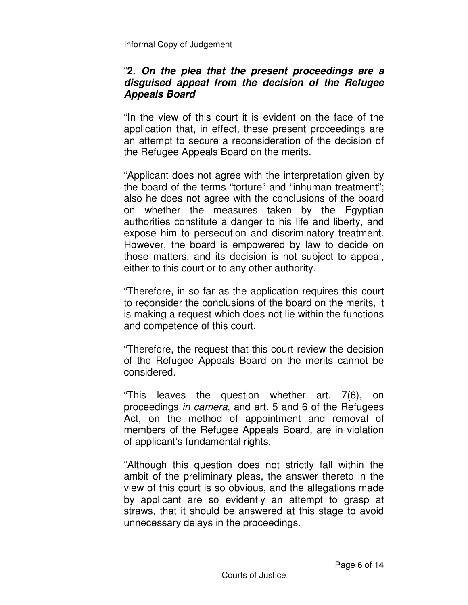#### "**2.** *On the plea that the present proceedings are a disguised appeal from the decision of the Refugee Appeals Board*

"In the view of this court it is evident on the face of the application that, in effect, these present proceedings are an attempt to secure a reconsideration of the decision of the Refugee Appeals Board on the merits.

"Applicant does not agree with the interpretation given by the board of the terms "torture" and "inhuman treatment"; also he does not agree with the conclusions of the board on whether the measures taken by the Egyptian authorities constitute a danger to his life and liberty, and expose him to persecution and discriminatory treatment. However, the board is empowered by law to decide on those matters, and its decision is not subject to appeal, either to this court or to any other authority.

"Therefore, in so far as the application requires this court to reconsider the conclusions of the board on the merits, it is making a request which does not lie within the functions and competence of this court.

"Therefore, the request that this court review the decision of the Refugee Appeals Board on the merits cannot be considered.

"This leaves the question whether art. 7(6), on proceedings *in camera*, and art. 5 and 6 of the Refugees Act, on the method of appointment and removal of members of the Refugee Appeals Board, are in violation of applicant's fundamental rights.

"Although this question does not strictly fall within the ambit of the preliminary pleas, the answer thereto in the view of this court is so obvious, and the allegations made by applicant are so evidently an attempt to grasp at straws, that it should be answered at this stage to avoid unnecessary delays in the proceedings.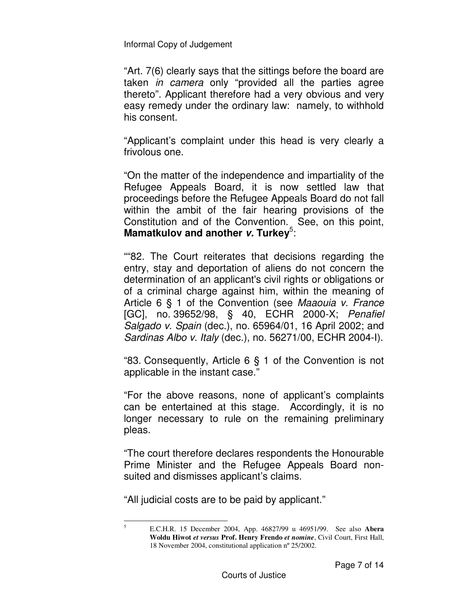"Art. 7(6) clearly says that the sittings before the board are taken *in camera* only "provided all the parties agree thereto". Applicant therefore had a very obvious and very easy remedy under the ordinary law: namely, to withhold his consent.

"Applicant's complaint under this head is very clearly a frivolous one.

"On the matter of the independence and impartiality of the Refugee Appeals Board, it is now settled law that proceedings before the Refugee Appeals Board do not fall within the ambit of the fair hearing provisions of the Constitution and of the Convention. See, on this point, Mamatkulov and another v. Turkey<sup>5</sup>:

""82. The Court reiterates that decisions regarding the entry, stay and deportation of aliens do not concern the determination of an applicant's civil rights or obligations or of a criminal charge against him, within the meaning of Article 6 § 1 of the Convention (see *Maaouia v. France* [GC], no. 39652/98, § 40, ECHR 2000-X; *Penafiel Salgado v. Spain* (dec.), no. 65964/01, 16 April 2002; and *Sardinas Albo v. Italy* (dec.), no. 56271/00, ECHR 2004-I).

"83. Consequently, Article 6 § 1 of the Convention is not applicable in the instant case."

"For the above reasons, none of applicant's complaints can be entertained at this stage. Accordingly, it is no longer necessary to rule on the remaining preliminary pleas.

"The court therefore declares respondents the Honourable Prime Minister and the Refugee Appeals Board nonsuited and dismisses applicant's claims.

"All judicial costs are to be paid by applicant."

5

E.C.H.R. 15 December 2004, App. 46827/99 u 46951/99. See also **Abera Woldu Hiwot** *et versus* **Prof. Henry Frendo** *et nomine*, Civil Court, First Hall, 18 November 2004, constitutional application nº 25/2002.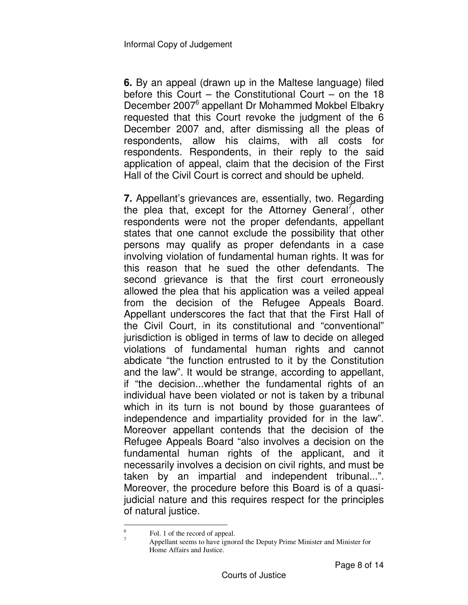**6.** By an appeal (drawn up in the Maltese language) filed before this Court – the Constitutional Court – on the 18 December 2007<sup>6</sup> appellant Dr Mohammed Mokbel Elbakry requested that this Court revoke the judgment of the 6 December 2007 and, after dismissing all the pleas of respondents, allow his claims, with all costs for respondents. Respondents, in their reply to the said application of appeal, claim that the decision of the First Hall of the Civil Court is correct and should be upheld.

**7.** Appellant's grievances are, essentially, two. Regarding the plea that, except for the Attorney General<sup>7</sup>, other respondents were not the proper defendants, appellant states that one cannot exclude the possibility that other persons may qualify as proper defendants in a case involving violation of fundamental human rights. It was for this reason that he sued the other defendants. The second grievance is that the first court erroneously allowed the plea that his application was a veiled appeal from the decision of the Refugee Appeals Board. Appellant underscores the fact that that the First Hall of the Civil Court, in its constitutional and "conventional" jurisdiction is obliged in terms of law to decide on alleged violations of fundamental human rights and cannot abdicate "the function entrusted to it by the Constitution and the law". It would be strange, according to appellant, if "the decision...whether the fundamental rights of an individual have been violated or not is taken by a tribunal which in its turn is not bound by those guarantees of independence and impartiality provided for in the law". Moreover appellant contends that the decision of the Refugee Appeals Board "also involves a decision on the fundamental human rights of the applicant, and it necessarily involves a decision on civil rights, and must be taken by an impartial and independent tribunal...". Moreover, the procedure before this Board is of a quasijudicial nature and this requires respect for the principles of natural justice.

 6 Fol. 1 of the record of appeal. 7

Appellant seems to have ignored the Deputy Prime Minister and Minister for Home Affairs and Justice.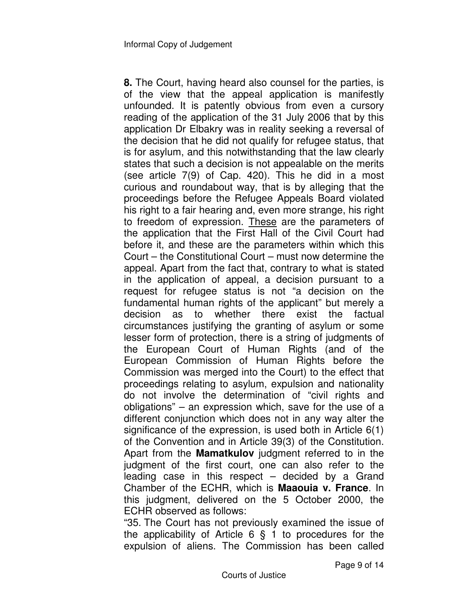**8.** The Court, having heard also counsel for the parties, is of the view that the appeal application is manifestly unfounded. It is patently obvious from even a cursory reading of the application of the 31 July 2006 that by this application Dr Elbakry was in reality seeking a reversal of the decision that he did not qualify for refugee status, that is for asylum, and this notwithstanding that the law clearly states that such a decision is not appealable on the merits (see article 7(9) of Cap. 420). This he did in a most curious and roundabout way, that is by alleging that the proceedings before the Refugee Appeals Board violated his right to a fair hearing and, even more strange, his right to freedom of expression. These are the parameters of the application that the First Hall of the Civil Court had before it, and these are the parameters within which this Court – the Constitutional Court – must now determine the appeal. Apart from the fact that, contrary to what is stated in the application of appeal, a decision pursuant to a request for refugee status is not "a decision on the fundamental human rights of the applicant" but merely a decision as to whether there exist the factual circumstances justifying the granting of asylum or some lesser form of protection, there is a string of judgments of the European Court of Human Rights (and of the European Commission of Human Rights before the Commission was merged into the Court) to the effect that proceedings relating to asylum, expulsion and nationality do not involve the determination of "civil rights and obligations" – an expression which, save for the use of a different conjunction which does not in any way alter the significance of the expression, is used both in Article 6(1) of the Convention and in Article 39(3) of the Constitution. Apart from the **Mamatkulov** judgment referred to in the judgment of the first court, one can also refer to the leading case in this respect – decided by a Grand Chamber of the ECHR, which is **Maaouia v. France**. In this judgment, delivered on the 5 October 2000, the ECHR observed as follows:

"35. The Court has not previously examined the issue of the applicability of Article 6 § 1 to procedures for the expulsion of aliens. The Commission has been called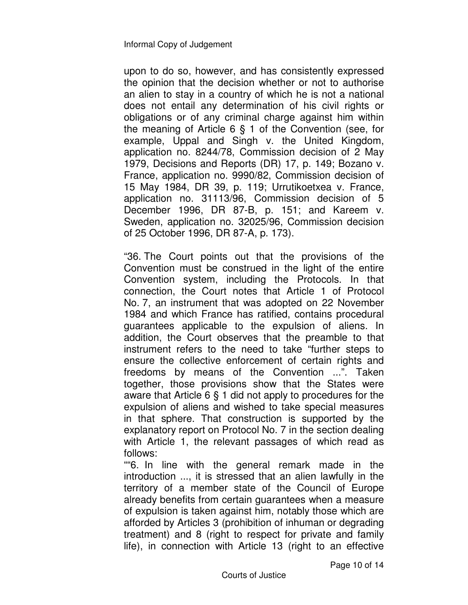upon to do so, however, and has consistently expressed the opinion that the decision whether or not to authorise an alien to stay in a country of which he is not a national does not entail any determination of his civil rights or obligations or of any criminal charge against him within the meaning of Article 6 § 1 of the Convention (see, for example, Uppal and Singh v. the United Kingdom, application no. 8244/78, Commission decision of 2 May 1979, Decisions and Reports (DR) 17, p. 149; Bozano v. France, application no. 9990/82, Commission decision of 15 May 1984, DR 39, p. 119; Urrutikoetxea v. France, application no. 31113/96, Commission decision of 5 December 1996, DR 87-B, p. 151; and Kareem v. Sweden, application no. 32025/96, Commission decision of 25 October 1996, DR 87-A, p. 173).

"36. The Court points out that the provisions of the Convention must be construed in the light of the entire Convention system, including the Protocols. In that connection, the Court notes that Article 1 of Protocol No. 7, an instrument that was adopted on 22 November 1984 and which France has ratified, contains procedural guarantees applicable to the expulsion of aliens. In addition, the Court observes that the preamble to that instrument refers to the need to take "further steps to ensure the collective enforcement of certain rights and freedoms by means of the Convention ...". Taken together, those provisions show that the States were aware that Article 6 § 1 did not apply to procedures for the expulsion of aliens and wished to take special measures in that sphere. That construction is supported by the explanatory report on Protocol No. 7 in the section dealing with Article 1, the relevant passages of which read as follows:

""6. In line with the general remark made in the introduction ..., it is stressed that an alien lawfully in the territory of a member state of the Council of Europe already benefits from certain guarantees when a measure of expulsion is taken against him, notably those which are afforded by Articles 3 (prohibition of inhuman or degrading treatment) and 8 (right to respect for private and family life), in connection with Article 13 (right to an effective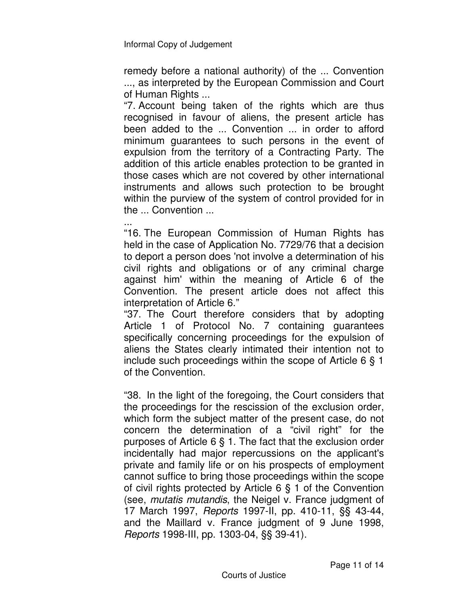remedy before a national authority) of the ... Convention ..., as interpreted by the European Commission and Court of Human Rights ...

"7. Account being taken of the rights which are thus recognised in favour of aliens, the present article has been added to the ... Convention ... in order to afford minimum guarantees to such persons in the event of expulsion from the territory of a Contracting Party. The addition of this article enables protection to be granted in those cases which are not covered by other international instruments and allows such protection to be brought within the purview of the system of control provided for in the ... Convention ...

... "16. The European Commission of Human Rights has held in the case of Application No. 7729/76 that a decision to deport a person does 'not involve a determination of his civil rights and obligations or of any criminal charge against him' within the meaning of Article 6 of the Convention. The present article does not affect this interpretation of Article 6."

"37. The Court therefore considers that by adopting Article 1 of Protocol No. 7 containing guarantees specifically concerning proceedings for the expulsion of aliens the States clearly intimated their intention not to include such proceedings within the scope of Article 6 § 1 of the Convention.

"38. In the light of the foregoing, the Court considers that the proceedings for the rescission of the exclusion order, which form the subject matter of the present case, do not concern the determination of a "civil right" for the purposes of Article 6 § 1. The fact that the exclusion order incidentally had major repercussions on the applicant's private and family life or on his prospects of employment cannot suffice to bring those proceedings within the scope of civil rights protected by Article 6 § 1 of the Convention (see, *mutatis mutandis*, the Neigel v. France judgment of 17 March 1997, *Reports* 1997-II, pp. 410-11, §§ 43-44, and the Maillard v. France judgment of 9 June 1998, *Reports* 1998-III, pp. 1303-04, §§ 39-41).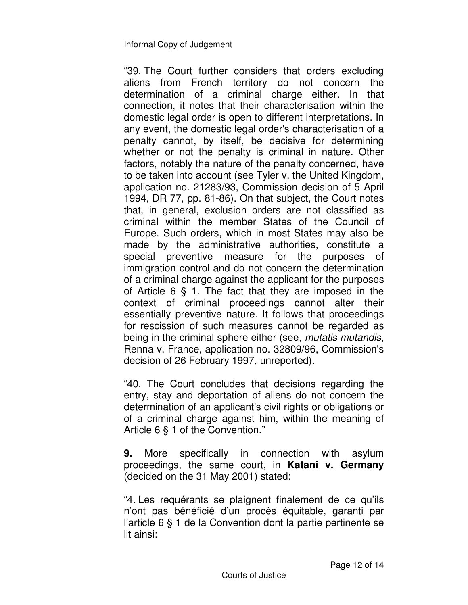"39. The Court further considers that orders excluding aliens from French territory do not concern the determination of a criminal charge either. In that connection, it notes that their characterisation within the domestic legal order is open to different interpretations. In any event, the domestic legal order's characterisation of a penalty cannot, by itself, be decisive for determining whether or not the penalty is criminal in nature. Other factors, notably the nature of the penalty concerned, have to be taken into account (see Tyler v. the United Kingdom, application no. 21283/93, Commission decision of 5 April 1994, DR 77, pp. 81-86). On that subject, the Court notes that, in general, exclusion orders are not classified as criminal within the member States of the Council of Europe. Such orders, which in most States may also be made by the administrative authorities, constitute a special preventive measure for the purposes of immigration control and do not concern the determination of a criminal charge against the applicant for the purposes of Article 6 § 1. The fact that they are imposed in the context of criminal proceedings cannot alter their essentially preventive nature. It follows that proceedings for rescission of such measures cannot be regarded as being in the criminal sphere either (see, *mutatis mutandis*, Renna v. France, application no. 32809/96, Commission's decision of 26 February 1997, unreported).

"40. The Court concludes that decisions regarding the entry, stay and deportation of aliens do not concern the determination of an applicant's civil rights or obligations or of a criminal charge against him, within the meaning of Article 6 § 1 of the Convention."

**9.** More specifically in connection with asylum proceedings, the same court, in **Katani v. Germany** (decided on the 31 May 2001) stated:

"4. Les requérants se plaignent finalement de ce qu'ils n'ont pas bénéficié d'un procès équitable, garanti par l'article 6 § 1 de la Convention dont la partie pertinente se lit ainsi: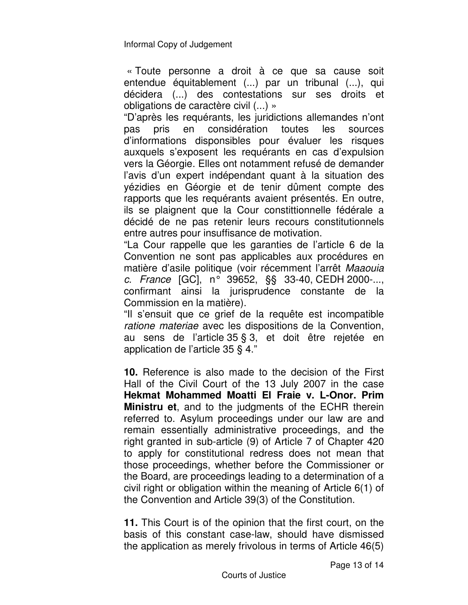« Toute personne a droit à ce que sa cause soit entendue équitablement (...) par un tribunal (...), qui décidera (...) des contestations sur ses droits et obligations de caractère civil (...) »

"D'après les requérants, les juridictions allemandes n'ont pas pris en considération toutes les sources d'informations disponsibles pour évaluer les risques auxquels s'exposent les requérants en cas d'expulsion vers la Géorgie. Elles ont notamment refusé de demander l'avis d'un expert indépendant quant à la situation des yézidies en Géorgie et de tenir dûment compte des rapports que les requérants avaient présentés. En outre, ils se plaignent que la Cour constittionnelle fédérale a décidé de ne pas retenir leurs recours constitutionnels entre autres pour insuffisance de motivation.

"La Cour rappelle que les garanties de l'article 6 de la Convention ne sont pas applicables aux procédures en matière d'asile politique (voir récemment l'arrêt *Maaouia c. France* [GC], n° 39652, §§ 33-40, CEDH 2000-..., confirmant ainsi la jurisprudence constante de la Commission en la matière).

"Il s'ensuit que ce grief de la requête est incompatible *ratione materiae* avec les dispositions de la Convention, au sens de l'article 35 § 3, et doit être rejetée en application de l'article 35 § 4."

**10.** Reference is also made to the decision of the First Hall of the Civil Court of the 13 July 2007 in the case **Hekmat Mohammed Moatti El Fraie v. L-Onor. Prim Ministru et**, and to the judgments of the ECHR therein referred to. Asylum proceedings under our law are and remain essentially administrative proceedings, and the right granted in sub-article (9) of Article 7 of Chapter 420 to apply for constitutional redress does not mean that those proceedings, whether before the Commissioner or the Board, are proceedings leading to a determination of a civil right or obligation within the meaning of Article 6(1) of the Convention and Article 39(3) of the Constitution.

**11.** This Court is of the opinion that the first court, on the basis of this constant case-law, should have dismissed the application as merely frivolous in terms of Article 46(5)

Page 13 of 14